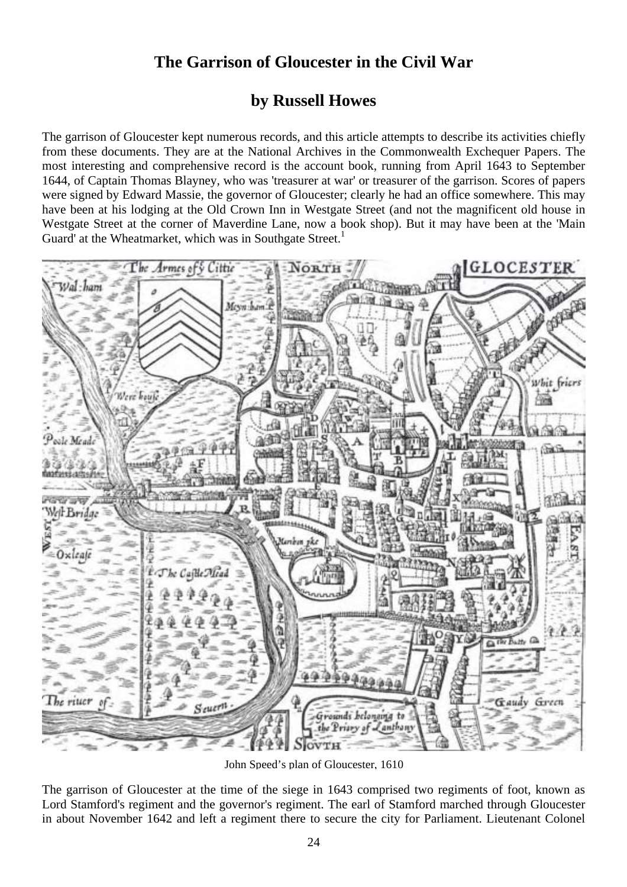## **The Garrison of Gloucester in the Civil War**

## **by Russell Howes**

The garrison of Gloucester kept numerous records, and this article attempts to describe its activities chiefly from these documents. They are at the National Archives in the Commonwealth Exchequer Papers. The most interesting and comprehensive record is the account book, running from April 1643 to September 1644, of Captain Thomas Blayney, who was 'treasurer at war' or treasurer of the garrison. Scores of papers were signed by Edward Massie, the governor of Gloucester; clearly he had an office somewhere. This may have been at his lodging at the Old Crown Inn in Westgate Street (and not the magnificent old house in Westgate Street at the corner of Maverdine Lane, now a book shop). But it may have been at the 'Main Guard' at the Wheatmarket, which was in Southgate Street.<sup>1</sup>



John Speed's plan of Gloucester, 1610

The garrison of Gloucester at the time of the siege in 1643 comprised two regiments of foot, known as Lord Stamford's regiment and the governor's regiment. The earl of Stamford marched through Gloucester in about November 1642 and left a regiment there to secure the city for Parliament. Lieutenant Colonel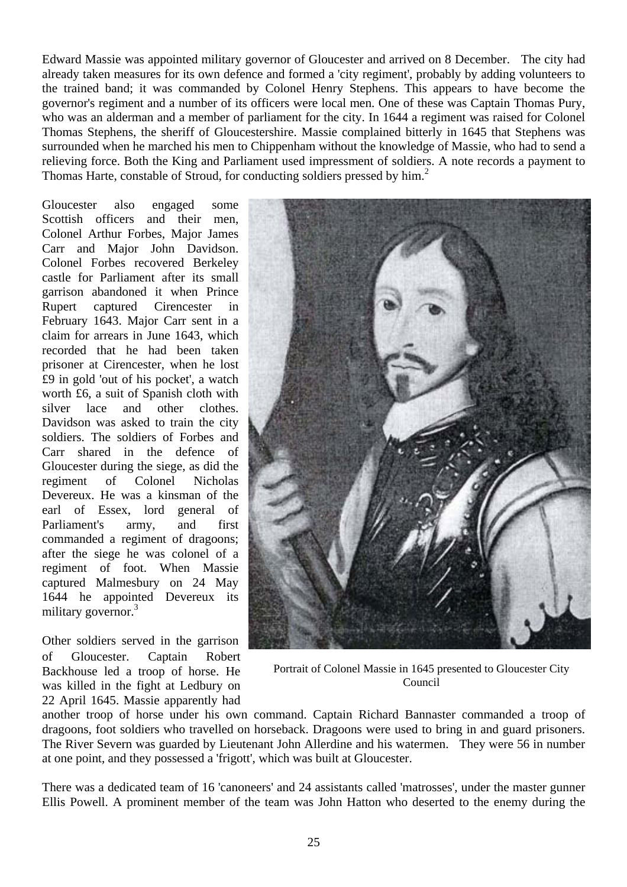Edward Massie was appointed military governor of Gloucester and arrived on 8 December. The city had already taken measures for its own defence and formed a 'city regiment', probably by adding volunteers to the trained band; it was commanded by Colonel Henry Stephens. This appears to have become the governor's regiment and a number of its officers were local men. One of these was Captain Thomas Pury, who was an alderman and a member of parliament for the city. In 1644 a regiment was raised for Colonel Thomas Stephens, the sheriff of Gloucestershire. Massie complained bitterly in 1645 that Stephens was surrounded when he marched his men to Chippenham without the knowledge of Massie, who had to send a relieving force. Both the King and Parliament used impressment of soldiers. A note records a payment to Thomas Harte, constable of Stroud, for conducting soldiers pressed by him.<sup>2</sup>

Gloucester also engaged some Scottish officers and their men, Colonel Arthur Forbes, Major James Carr and Major John Davidson. Colonel Forbes recovered Berkeley castle for Parliament after its small garrison abandoned it when Prince Rupert captured Cirencester in February 1643. Major Carr sent in a claim for arrears in June 1643, which recorded that he had been taken prisoner at Cirencester, when he lost £9 in gold 'out of his pocket', a watch worth £6, a suit of Spanish cloth with silver lace and other clothes. Davidson was asked to train the city soldiers. The soldiers of Forbes and Carr shared in the defence of Gloucester during the siege, as did the regiment of Colonel Nicholas Devereux. He was a kinsman of the earl of Essex, lord general of Parliament's army, and first commanded a regiment of dragoons; after the siege he was colonel of a regiment of foot. When Massie captured Malmesbury on 24 May 1644 he appointed Devereux its military governor.<sup>3</sup>

Other soldiers served in the garrison of Gloucester. Captain Robert Backhouse led a troop of horse. He was killed in the fight at Ledbury on 22 April 1645. Massie apparently had



Portrait of Colonel Massie in 1645 presented to Gloucester City Council

another troop of horse under his own command. Captain Richard Bannaster commanded a troop of dragoons, foot soldiers who travelled on horseback. Dragoons were used to bring in and guard prisoners. The River Severn was guarded by Lieutenant John Allerdine and his watermen. They were 56 in number at one point, and they possessed a 'frigott', which was built at Gloucester.

There was a dedicated team of 16 'canoneers' and 24 assistants called 'matrosses', under the master gunner Ellis Powell. A prominent member of the team was John Hatton who deserted to the enemy during the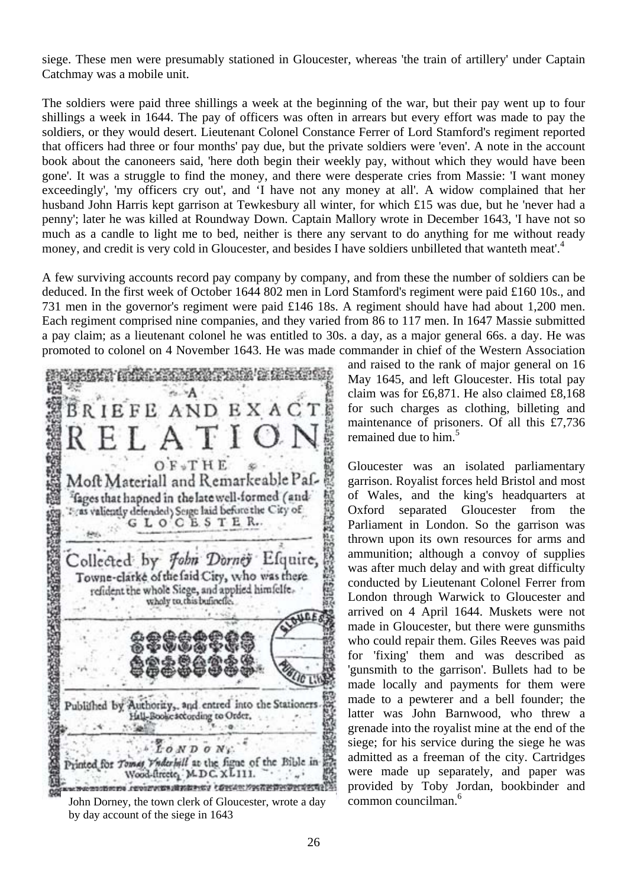siege. These men were presumably stationed in Gloucester, whereas 'the train of artillery' under Captain Catchmay was a mobile unit.

The soldiers were paid three shillings a week at the beginning of the war, but their pay went up to four shillings a week in 1644. The pay of officers was often in arrears but every effort was made to pay the soldiers, or they would desert. Lieutenant Colonel Constance Ferrer of Lord Stamford's regiment reported that officers had three or four months' pay due, but the private soldiers were 'even'. A note in the account book about the canoneers said, 'here doth begin their weekly pay, without which they would have been gone'. It was a struggle to find the money, and there were desperate cries from Massie: 'I want money exceedingly', 'my officers cry out', and 'I have not any money at all'. A widow complained that her husband John Harris kept garrison at Tewkesbury all winter, for which £15 was due, but he 'never had a penny'; later he was killed at Roundway Down. Captain Mallory wrote in December 1643, 'I have not so much as a candle to light me to bed, neither is there any servant to do anything for me without ready money, and credit is very cold in Gloucester, and besides I have soldiers unbilleted that wanteth meat'.<sup>4</sup>

A few surviving accounts record pay company by company, and from these the number of soldiers can be deduced. In the first week of October 1644 802 men in Lord Stamford's regiment were paid £160 10s., and 731 men in the governor's regiment were paid £146 18s. A regiment should have had about 1,200 men. Each regiment comprised nine companies, and they varied from 86 to 117 men. In 1647 Massie submitted a pay claim; as a lieutenant colonel he was entitled to 30s. a day, as a major general 66s. a day. He was promoted to colonel on 4 November 1643. He was made commander in chief of the Western Association

**BRIEFE AND** EXAC  $THE$ Moft Materiall and Remarkeable Paffages that hapned in the late well-formed (and : as valiently defended) Seage laid before the City of GLOCESTER. Collected by John Dorney Efquire, Towne-clarke of the faid City, who was there refident the whole Siege, and applied himfelfewholy to this bufinefie. ü۵ Published by Authority, and entred into the Stationers Hall-Bookescoording to Order, LOND ON Printed for Tomes Vaderhill at the figue of the Bible in Wood-firete, M.D.C. XL111. ces conservations des conservations des conservations

John Dorney, the town clerk of Gloucester, wrote a day by day account of the siege in 1643

and raised to the rank of major general on 16 May 1645, and left Gloucester. His total pay claim was for £6,871. He also claimed £8,168 for such charges as clothing, billeting and maintenance of prisoners. Of all this £7,736 remained due to him.<sup>5</sup>

Gloucester was an isolated parliamentary garrison. Royalist forces held Bristol and most of Wales, and the king's headquarters at Oxford separated Gloucester from the Parliament in London. So the garrison was thrown upon its own resources for arms and ammunition; although a convoy of supplies was after much delay and with great difficulty conducted by Lieutenant Colonel Ferrer from London through Warwick to Gloucester and arrived on 4 April 1644. Muskets were not made in Gloucester, but there were gunsmiths who could repair them. Giles Reeves was paid for 'fixing' them and was described as 'gunsmith to the garrison'. Bullets had to be made locally and payments for them were made to a pewterer and a bell founder; the latter was John Barnwood, who threw a grenade into the royalist mine at the end of the siege; for his service during the siege he was admitted as a freeman of the city. Cartridges were made up separately, and paper was provided by Toby Jordan, bookbinder and common councilman.<sup>6</sup>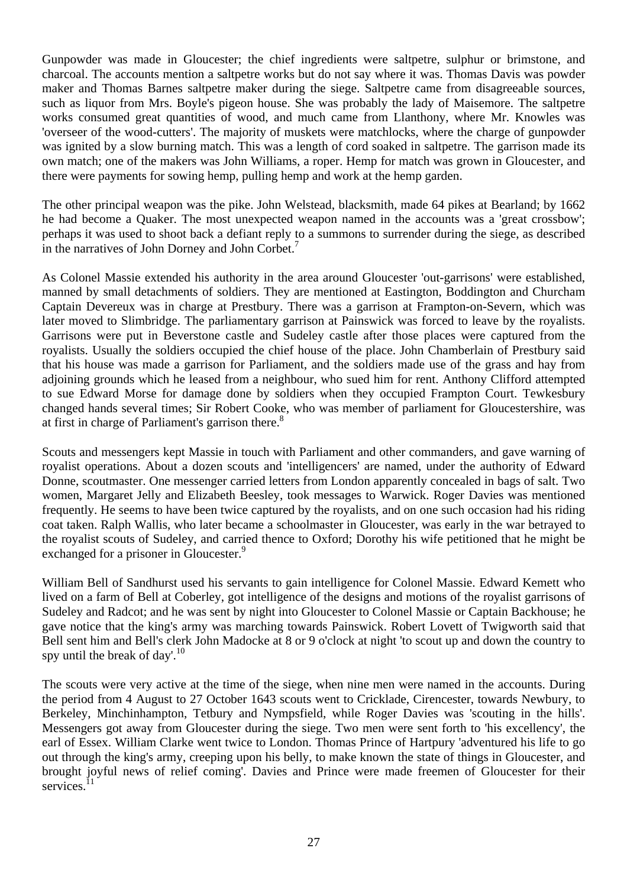Gunpowder was made in Gloucester; the chief ingredients were saltpetre, sulphur or brimstone, and charcoal. The accounts mention a saltpetre works but do not say where it was. Thomas Davis was powder maker and Thomas Barnes saltpetre maker during the siege. Saltpetre came from disagreeable sources, such as liquor from Mrs. Boyle's pigeon house. She was probably the lady of Maisemore. The saltpetre works consumed great quantities of wood, and much came from Llanthony, where Mr. Knowles was 'overseer of the wood-cutters'. The majority of muskets were matchlocks, where the charge of gunpowder was ignited by a slow burning match. This was a length of cord soaked in saltpetre. The garrison made its own match; one of the makers was John Williams, a roper. Hemp for match was grown in Gloucester, and there were payments for sowing hemp, pulling hemp and work at the hemp garden.

The other principal weapon was the pike. John Welstead, blacksmith, made 64 pikes at Bearland; by 1662 he had become a Quaker. The most unexpected weapon named in the accounts was a 'great crossbow'; perhaps it was used to shoot back a defiant reply to a summons to surrender during the siege, as described in the narratives of John Dorney and John Corbet.<sup>7</sup>

As Colonel Massie extended his authority in the area around Gloucester 'out-garrisons' were established, manned by small detachments of soldiers. They are mentioned at Eastington, Boddington and Churcham Captain Devereux was in charge at Prestbury. There was a garrison at Frampton-on-Severn, which was later moved to Slimbridge. The parliamentary garrison at Painswick was forced to leave by the royalists. Garrisons were put in Beverstone castle and Sudeley castle after those places were captured from the royalists. Usually the soldiers occupied the chief house of the place. John Chamberlain of Prestbury said that his house was made a garrison for Parliament, and the soldiers made use of the grass and hay from adjoining grounds which he leased from a neighbour, who sued him for rent. Anthony Clifford attempted to sue Edward Morse for damage done by soldiers when they occupied Frampton Court. Tewkesbury changed hands several times; Sir Robert Cooke, who was member of parliament for Gloucestershire, was at first in charge of Parliament's garrison there.<sup>8</sup>

Scouts and messengers kept Massie in touch with Parliament and other commanders, and gave warning of royalist operations. About a dozen scouts and 'intelligencers' are named, under the authority of Edward Donne, scoutmaster. One messenger carried letters from London apparently concealed in bags of salt. Two women, Margaret Jelly and Elizabeth Beesley, took messages to Warwick. Roger Davies was mentioned frequently. He seems to have been twice captured by the royalists, and on one such occasion had his riding coat taken. Ralph Wallis, who later became a schoolmaster in Gloucester, was early in the war betrayed to the royalist scouts of Sudeley, and carried thence to Oxford; Dorothy his wife petitioned that he might be exchanged for a prisoner in Gloucester.<sup>9</sup>

William Bell of Sandhurst used his servants to gain intelligence for Colonel Massie. Edward Kemett who lived on a farm of Bell at Coberley, got intelligence of the designs and motions of the royalist garrisons of Sudeley and Radcot; and he was sent by night into Gloucester to Colonel Massie or Captain Backhouse; he gave notice that the king's army was marching towards Painswick. Robert Lovett of Twigworth said that Bell sent him and Bell's clerk John Madocke at 8 or 9 o'clock at night 'to scout up and down the country to spy until the break of day'.<sup>10</sup>

The scouts were very active at the time of the siege, when nine men were named in the accounts. During the period from 4 August to 27 October 1643 scouts went to Cricklade, Cirencester, towards Newbury, to Berkeley, Minchinhampton, Tetbury and Nympsfield, while Roger Davies was 'scouting in the hills'. Messengers got away from Gloucester during the siege. Two men were sent forth to 'his excellency', the earl of Essex. William Clarke went twice to London. Thomas Prince of Hartpury 'adventured his life to go out through the king's army, creeping upon his belly, to make known the state of things in Gloucester, and brought joyful news of relief coming'. Davies and Prince were made freemen of Gloucester for their services. $11$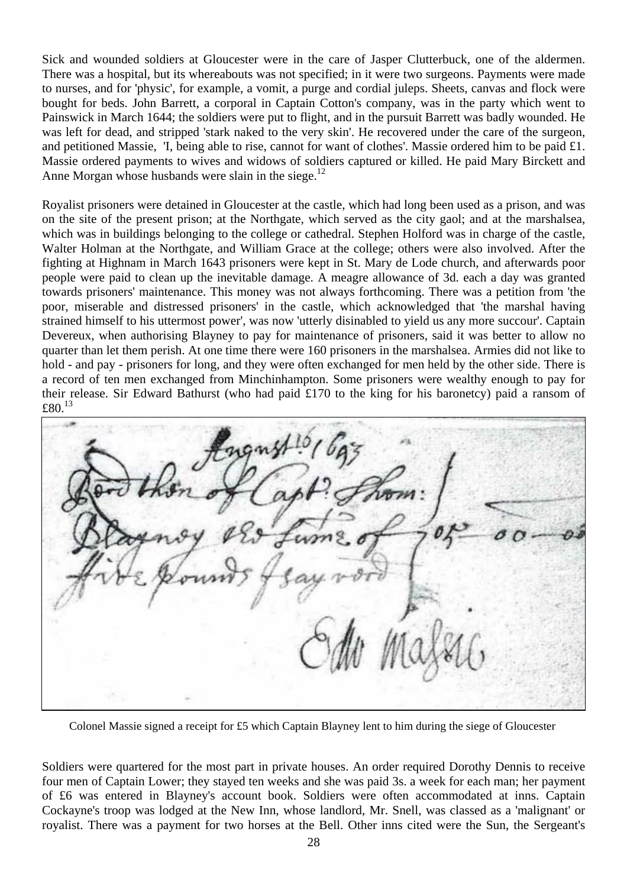Sick and wounded soldiers at Gloucester were in the care of Jasper Clutterbuck, one of the aldermen. There was a hospital, but its whereabouts was not specified; in it were two surgeons. Payments were made to nurses, and for 'physic', for example, a vomit, a purge and cordial juleps. Sheets, canvas and flock were bought for beds. John Barrett, a corporal in Captain Cotton's company, was in the party which went to Painswick in March 1644; the soldiers were put to flight, and in the pursuit Barrett was badly wounded. He was left for dead, and stripped 'stark naked to the very skin'. He recovered under the care of the surgeon, and petitioned Massie, 'I, being able to rise, cannot for want of clothes'. Massie ordered him to be paid £1. Massie ordered payments to wives and widows of soldiers captured or killed. He paid Mary Birckett and Anne Morgan whose husbands were slain in the siege.<sup>12</sup>

Royalist prisoners were detained in Gloucester at the castle, which had long been used as a prison, and was on the site of the present prison; at the Northgate, which served as the city gaol; and at the marshalsea, which was in buildings belonging to the college or cathedral. Stephen Holford was in charge of the castle, Walter Holman at the Northgate, and William Grace at the college; others were also involved. After the fighting at Highnam in March 1643 prisoners were kept in St. Mary de Lode church, and afterwards poor people were paid to clean up the inevitable damage. A meagre allowance of 3d. each a day was granted towards prisoners' maintenance. This money was not always forthcoming. There was a petition from 'the poor, miserable and distressed prisoners' in the castle, which acknowledged that 'the marshal having strained himself to his uttermost power', was now 'utterly disinabled to yield us any more succour'. Captain Devereux, when authorising Blayney to pay for maintenance of prisoners, said it was better to allow no quarter than let them perish. At one time there were 160 prisoners in the marshalsea. Armies did not like to hold - and pay - prisoners for long, and they were often exchanged for men held by the other side. There is a record of ten men exchanged from Minchinhampton. Some prisoners were wealthy enough to pay for their release. Sir Edward Bathurst (who had paid £170 to the king for his baronetcy) paid a ransom of £80. $13$ 

Colonel Massie signed a receipt for £5 which Captain Blayney lent to him during the siege of Gloucester

Soldiers were quartered for the most part in private houses. An order required Dorothy Dennis to receive four men of Captain Lower; they stayed ten weeks and she was paid 3s. a week for each man; her payment of £6 was entered in Blayney's account book. Soldiers were often accommodated at inns. Captain Cockayne's troop was lodged at the New Inn, whose landlord, Mr. Snell, was classed as a 'malignant' or royalist. There was a payment for two horses at the Bell. Other inns cited were the Sun, the Sergeant's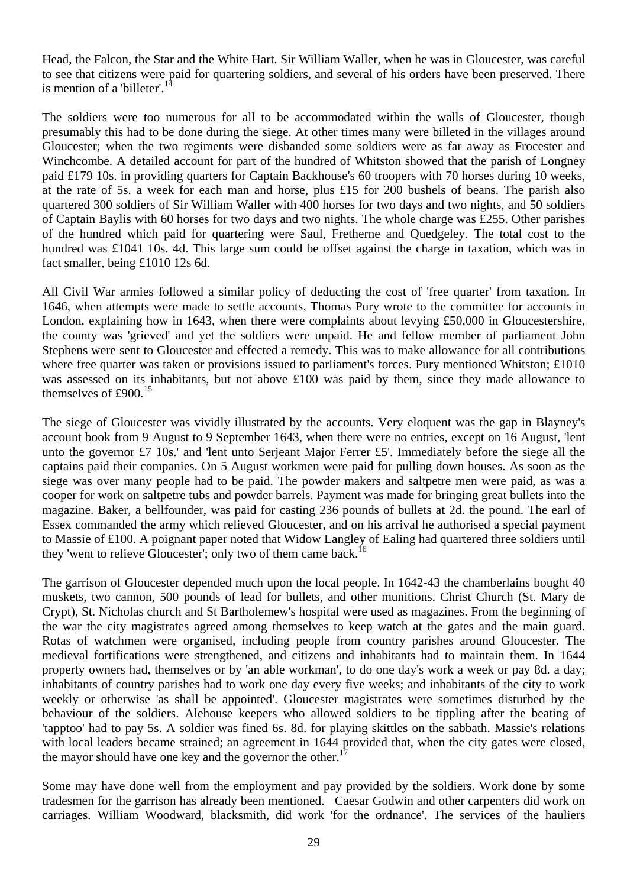Head, the Falcon, the Star and the White Hart. Sir William Waller, when he was in Gloucester, was careful to see that citizens were paid for quartering soldiers, and several of his orders have been preserved. There is mention of a 'billeter'.<sup>14</sup>

The soldiers were too numerous for all to be accommodated within the walls of Gloucester, though presumably this had to be done during the siege. At other times many were billeted in the villages around Gloucester; when the two regiments were disbanded some soldiers were as far away as Frocester and Winchcombe. A detailed account for part of the hundred of Whitston showed that the parish of Longney paid £179 10s. in providing quarters for Captain Backhouse's 60 troopers with 70 horses during 10 weeks, at the rate of 5s. a week for each man and horse, plus £15 for 200 bushels of beans. The parish also quartered 300 soldiers of Sir William Waller with 400 horses for two days and two nights, and 50 soldiers of Captain Baylis with 60 horses for two days and two nights. The whole charge was £255. Other parishes of the hundred which paid for quartering were Saul, Fretherne and Quedgeley. The total cost to the hundred was £1041 10s. 4d. This large sum could be offset against the charge in taxation, which was in fact smaller, being £1010 12s 6d.

All Civil War armies followed a similar policy of deducting the cost of 'free quarter' from taxation. In 1646, when attempts were made to settle accounts, Thomas Pury wrote to the committee for accounts in London, explaining how in 1643, when there were complaints about levying £50,000 in Gloucestershire, the county was 'grieved' and yet the soldiers were unpaid. He and fellow member of parliament John Stephens were sent to Gloucester and effected a remedy. This was to make allowance for all contributions where free quarter was taken or provisions issued to parliament's forces. Pury mentioned Whitston; £1010 was assessed on its inhabitants, but not above £100 was paid by them, since they made allowance to themselves of £900.<sup>15</sup>

The siege of Gloucester was vividly illustrated by the accounts. Very eloquent was the gap in Blayney's account book from 9 August to 9 September 1643, when there were no entries, except on 16 August, 'lent unto the governor £7 10s.' and 'lent unto Serjeant Major Ferrer £5'. Immediately before the siege all the captains paid their companies. On 5 August workmen were paid for pulling down houses. As soon as the siege was over many people had to be paid. The powder makers and saltpetre men were paid, as was a cooper for work on saltpetre tubs and powder barrels. Payment was made for bringing great bullets into the magazine. Baker, a bellfounder, was paid for casting 236 pounds of bullets at 2d. the pound. The earl of Essex commanded the army which relieved Gloucester, and on his arrival he authorised a special payment to Massie of £100. A poignant paper noted that Widow Langley of Ealing had quartered three soldiers until they 'went to relieve Gloucester'; only two of them came back.<sup>16</sup>

The garrison of Gloucester depended much upon the local people. In 1642-43 the chamberlains bought 40 muskets, two cannon, 500 pounds of lead for bullets, and other munitions. Christ Church (St. Mary de Crypt), St. Nicholas church and St Bartholemew's hospital were used as magazines. From the beginning of the war the city magistrates agreed among themselves to keep watch at the gates and the main guard. Rotas of watchmen were organised, including people from country parishes around Gloucester. The medieval fortifications were strengthened, and citizens and inhabitants had to maintain them. In 1644 property owners had, themselves or by 'an able workman', to do one day's work a week or pay 8d. a day; inhabitants of country parishes had to work one day every five weeks; and inhabitants of the city to work weekly or otherwise 'as shall be appointed'. Gloucester magistrates were sometimes disturbed by the behaviour of the soldiers. Alehouse keepers who allowed soldiers to be tippling after the beating of 'tapptoo' had to pay 5s. A soldier was fined 6s. 8d. for playing skittles on the sabbath. Massie's relations with local leaders became strained; an agreement in 1644 provided that, when the city gates were closed, the mayor should have one key and the governor the other.<sup>1</sup>

Some may have done well from the employment and pay provided by the soldiers. Work done by some tradesmen for the garrison has already been mentioned. Caesar Godwin and other carpenters did work on carriages. William Woodward, blacksmith, did work 'for the ordnance'. The services of the hauliers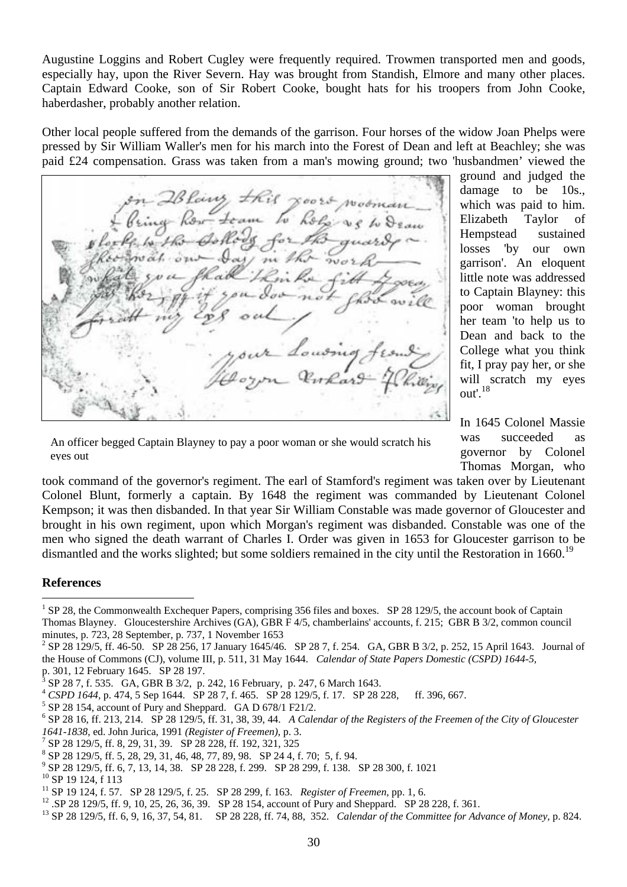Augustine Loggins and Robert Cugley were frequently required. Trowmen transported men and goods, especially hay, upon the River Severn. Hay was brought from Standish, Elmore and many other places. Captain Edward Cooke, son of Sir Robert Cooke, bought hats for his troopers from John Cooke, haberdasher, probably another relation.

Other local people suffered from the demands of the garrison. Four horses of the widow Joan Phelps were pressed by Sir William Waller's men for his march into the Forest of Dean and left at Beachley; she was paid £24 compensation. Grass was taken from a man's mowing ground; two 'husbandmen' viewed the

 $\overline{\phantom{a}}$ 

ground and judged the damage to be 10s., which was paid to him. Elizabeth Taylor of Hempstead sustained losses 'by our own garrison'. An eloquent little note was addressed to Captain Blayney: this poor woman brought her team 'to help us to Dean and back to the College what you think fit, I pray pay her, or she will scratch my eyes out'.<sup>18</sup>

An officer begged Captain Blayney to pay a poor woman or she would scratch his eyes out

In 1645 Colonel Massie was succeeded governor by Colonel Thomas Morgan, who

took command of the governor's regiment. The earl of Stamford's regiment was taken over by Lieutenant Colonel Blunt, formerly a captain. By 1648 the regiment was commanded by Lieutenant Colonel Kempson; it was then disbanded. In that year Sir William Constable was made governor of Gloucester and brought in his own regiment, upon which Morgan's regiment was disbanded. Constable was one of the men who signed the death warrant of Charles I. Order was given in 1653 for Gloucester garrison to be dismantled and the works slighted; but some soldiers remained in the city until the Restoration in 1660.<sup>19</sup>

## **References**

<sup>9</sup> SP 28 129/5, ff. 6, 7, 13, 14, 38. SP 28 228, f. 299. SP 28 299, f. 138. SP 28 300, f. 1021

 $\overline{a}$ <sup>1</sup> SP 28, the Commonwealth Exchequer Papers, comprising 356 files and boxes. SP 28 129/5, the account book of Captain Thomas Blayney. Gloucestershire Archives (GA), GBR F 4/5, chamberlains' accounts, f. 215; GBR B 3/2, common council minutes, p. 723, 28 September, p. 737, 1 November 1653

<sup>&</sup>lt;sup>2</sup> SP 28 129/5, ff. 46-50. SP 28 256, 17 January 1645/46. SP 28 7, f. 254. GA, GBR B 3/2, p. 252, 15 April 1643. Journal of the House of Commons (CJ), volume III, p. 511, 31 May 1644. *Calendar of State Papers Domestic (CSPD) 1644-5,* 

p. 301, 12 February 1645. SP 28 197. SP 28 7, f. 535. GA, GBR B 3/2, p. 242, 16 February, p. 247, 6 March 1643.

<sup>&</sup>lt;sup>4</sup> *CSPD 1644, p.* 474, 5 Sep 1644. SP 28 7, f. 465. SP 28 129/5, f. 17. SP 28 228, ff. 396, 667.

 $5$  SP 28 154, account of Pury and Sheppard. GA D 678/1 F21/2.

<sup>6</sup> SP 28 16, ff. 213, 214. SP 28 129/5, ff. 31, 38, 39, 44. *A Calendar of the Registers of the Freemen of the City of Gloucester 1641-1838,* ed. John Jurica, 1991 *(Register of Freemen)*, p. 3. 7

SP 28 129/5, ff. 8, 29, 31, 39. SP 28 228, ff. 192, 321, 325

<sup>8</sup> SP 28 129/5, ff. 5, 28, 29, 31, 46, 48, 77, 89, 98. SP 24 4, f. 70; 5, f. 94.

<sup>&</sup>lt;sup>10</sup> SP 19 124, f 113<br><sup>11</sup> SP 19 124, f. 57. SP 28 129/5, f. 25. SP 28 299, f. 163. *Register of Freemen*, pp. 1, 6.

<sup>&</sup>lt;sup>12</sup> SP 28 129/5, ff. 9, 10, 25, 26, 36, 39. SP 28 154, account of Pury and Sheppard. SP 28 228, f. 361.<br><sup>13</sup> SP 28 129/5, ff. 6, 9, 16, 37, 54, 81. SP 28 228, ff. 74, 88, 352. *Calendar of the Committee for Advance of Mo*